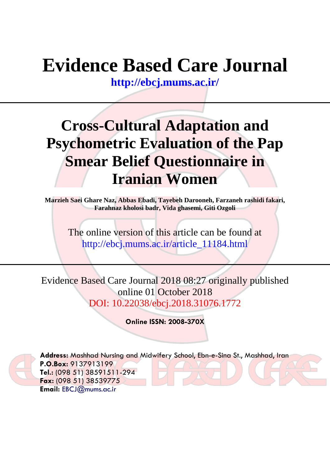# **Evidence Based Care Journal**

**<http://ebcj.mums.ac.ir/>**

## **Cross-Cultural Adaptation and Psychometric Evaluation of the Pap Smear Belief Questionnaire in Iranian Women**

**Marzieh Saei Ghare Naz, Abbas Ebadi, Tayebeh Darooneh, Farzaneh rashidi fakari, Farahnaz kholosi badr, Vida ghasemi, Giti Ozgoli**

The online version of this article can be found at http://ebcj.mums.ac.ir/article\_11184.html

Evidence Based Care Journal 2018 08:27 originally published online 01 October 2018 DOI: 10.22038/ebcj.2018.31076.1772

**Online ISSN: 2008-370X**



**Address:** Mashhad Nursing and Midwifery School, Ebn-e-Sina St., Mashhad, Iran **P.O.Box:** 9137913199 **Tel.:** (098 51) 38591511-294 **Fax:** (098 51) 38539775 **Email:** [EBCJ@mums.ac.ir](mailto:EBCJ@mums.ac.ir)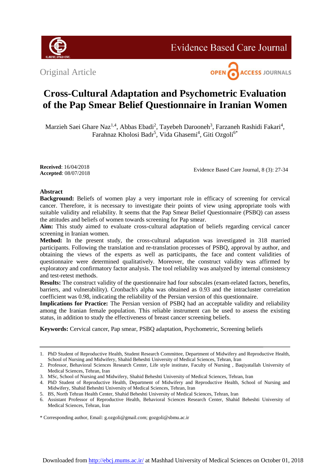

**Evidence Based Care Journal** 

Original Article



### **Cross-Cultural Adaptation and Psychometric Evaluation of the Pap Smear Belief Questionnaire in Iranian Women**

Marzieh Saei Ghare Naz<sup>1,4</sup>, Abbas Ebadi<sup>2</sup>, Tayebeh Darooneh<sup>3</sup>, Farzaneh Rashidi Fakari<sup>4</sup>, Farahnaz Kholosi Badr<sup>5</sup>, Vida Ghasemi<sup>4</sup>, Giti Ozgoli<sup>6\*</sup>

**Received**: 16/04/2018 **Accepted**: 08/07/2018

Evidence Based Care Journal, 8 (3): 27-34

#### **Abstract**

**Background:** Beliefs of women play a very important role in efficacy of screening for cervical cancer. Therefore, it is necessary to investigate their points of view using appropriate tools with suitable validity and reliability. It seems that the Pap Smear Belief Questionnaire (PSBQ) can assess the attitudes and beliefs of women towards screening for Pap smear.

**Aim:** This study aimed to evaluate cross-cultural adaptation of beliefs regarding cervical cancer screening in Iranian women.

**Method:** In the present study, the cross-cultural adaptation was investigated in 318 married participants. Following the translation and re-translation processes of PSBQ, approval by author, and obtaining the views of the experts as well as participants, the face and content validities of questionnaire were determined qualitatively. Moreover, the construct validity was affirmed by exploratory and confirmatory factor analysis. The tool reliability was analyzed by internal consistency and test-retest methods.

**Results:** The construct validity of the questionnaire had four subscales (exam-related factors, benefits, barriers, and vulnerability). Cronbach's alpha was obtained as 0.93 and the intracluster correlation coefficient was 0.98, indicating the reliability of the Persian version of this questionnaire.

**Implications for Practice:** The Persian version of PSBQ had an acceptable validity and reliability among the Iranian female population. This reliable instrument can be used to assess the existing status, in addition to study the effectiveness of breast cancer screening beliefs.

**Keywords:** Cervical cancer, Pap smear, PSBQ adaptation, Psychometric, Screening beliefs

\* Corresponding author, Email: g.ozgoli@gmail.com; gozgoli@sbmu.ac.ir

<sup>1.</sup> PhD Student of Reproductive Health, Student Research Committee, Department of Midwifery and Reproductive Health, School of Nursing and Midwifery, Shahid Beheshti University of Medical Sciences, Tehran, Iran

<sup>2.</sup> Professor, Behavioral Sciences Research Center, Life style institute, Faculty of Nursing , Baqiyatallah University of Medical Sciences, Tehran, Iran

<sup>3.</sup> MSc, School of Nursing and Midwifery, Shahid Beheshti University of Medical Sciences, Tehran, Iran

<sup>4.</sup> PhD Student of Reproductive Health, Department of Midwifery and Reproductive Health, School of Nursing and Midwifery, Shahid Beheshti University of Medical Sciences, Tehran, Iran

<sup>5.</sup> BS, North Tehran Health Center, Shahid Beheshti University of Medical Sciences, Tehran, Iran

<sup>6.</sup> Assistant Professor of Reproductive Health, Behavioral Sciences Research Center, Shahid Beheshti University of Medical Sciences, Tehran, Iran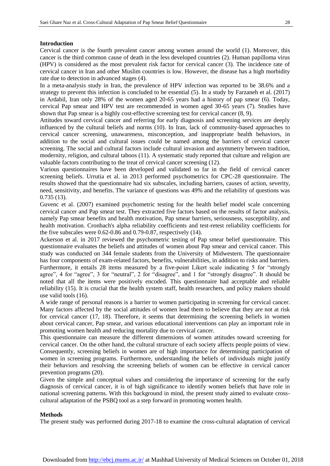#### **Introduction**

Cervical cancer is the fourth prevalent cancer among women around the world (1). Moreover, this cancer is the third common cause of death in the less developed countries (2). Human papilloma virus (HPV) is considered as the most prevalent risk factor for cervical cancer (3). The incidence rate of cervical cancer in Iran and other Muslim countries is low. However, the disease has a high morbidity rate due to detection in advanced stages (4).

In a meta-analysis study in Iran, the prevalence of HPV infection was reported to be 38.6% and a strategy to prevent this infection is concluded to be essential (5). In a study by Farzaneh et al. (2017) in Ardabil, Iran only 28% of the women aged 20-65 years had a history of pap smear (6). Today, cervical Pap smear and HPV test are recommended in women aged 30-65 years (7). Studies have shown that Pap smear is a highly cost-effective screening test for cervical cancer (8, 9).

Attitudes toward cervical cancer and referring for early diagnosis and screening services are deeply influenced by the cultural beliefs and norms (10). In Iran, lack of community-based approaches to cervical cancer screening, unawareness, misconception, and inappropriate health behaviors, in addition to the social and cultural issues could be named among the barriers of cervical cancer screening. The social and cultural factors include cultural invasion and asymmetry between tradition, modernity, religion, and cultural taboos (11). A systematic study reported that culture and religion are valuable factors contributing to the treat of cervical cancer screening (12).

Various questionnaires have been developed and validated so far in the field of cervical cancer screening beliefs. Urrutia et al. in 2013 performed psychometrics for CPC-28 questionnaire. The results showed that the questionnaire had six subscales, including barriers, causes of action, severity, need, sensitivity, and benefits. The variance of questions was 49% and the reliability of questions was 0.735 (13).

Guvenc et al. (2007) examined psychometric testing for the health belief model scale concerning cervical cancer and Pap smear test. They extracted five factors based on the results of factor analysis, namely Pap smear benefits and health motivation, Pap smear barriers, seriousness, susceptibility, and health motivation. Cronbach's alpha reliability coefficients and test-retest reliability coefficients for the five subscales were 0.62-0.86 and 0.79-0.87, respectively (14).

Ackerson et al. in 2017 reviewed the psychometric testing of Pap smear belief questionnaire. This questionnaire evaluates the beliefs and attitudes of women about Pap smear and cervical cancer. This study was conducted on 344 female students from the University of Midwestern. The questionnaire has four components of exam-related factors, benefits, vulnerabilities, in addition to risks and barriers. Furthermore, it entails 28 items measured by a five-point Likert scale indicating 5 for "strongly agree", 4 for "agree", 3 for "neutral", 2 for "disagree", and 1 for "strongly disagree". It should be noted that all the items were positively encoded. This questionnaire had acceptable and reliable reliability (15). It is crucial that the health system staff, health researchers, and policy makers should use valid tools (16).

A wide range of personal reasons is a barrier to women participating in screening for cervical cancer. Many factors affected by the social attitudes of women lead them to believe that they are not at risk for cervical cancer (17, 18). Therefore, it seems that determining the screening beliefs in women about cervical cancer, Pap smear, and various educational interventions can play an important role in promoting women health and reducing mortality due to cervical cancer.

This questionnaire can measure the different dimensions of women attitudes toward screening for cervical cancer. On the other hand, the cultural structure of each society affects people points of view. Consequently, screening beliefs in women are of high importance for determining participation of women in screening programs. Furthermore, understanding the beliefs of individuals might justify their behaviors and resolving the screening beliefs of women can be effective in cervical cancer prevention programs (20).

Given the simple and conceptual values and considering the importance of screening for the early diagnosis of cervical cancer, it is of high significance to identify women beliefs that have role in national screening patterns. With this background in mind, the present study aimed to evaluate crosscultural adaptation of the PSBQ tool as a step forward in promoting women health.

#### **Methods**

The present study was performed during 2017-18 to examine the cross-cultural adaptation of cervical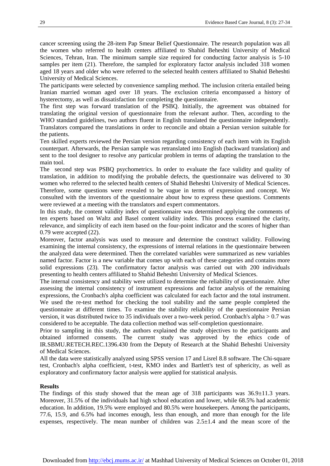cancer screening using the 28-item Pap Smear Belief Questionnaire. The research population was all the women who referred to health centers affiliated to Shahid Beheshti University of Medical Sciences, Tehran, Iran. The minimum sample size required for conducting factor analysis is 5-10 samples per item (21). Therefore, the sampled for exploratory factor analysis included 318 women aged 18 years and older who were referred to the selected health centers affiliated to Shahid Beheshti University of Medical Sciences.

The participants were selected by convenience sampling method. The inclusion criteria entailed being Iranian married woman aged over 18 years. The exclusion criteria encompassed a history of hysterectomy, as well as dissatisfaction for completing the questionnaire.

The first step was forward translation of the PSBQ. Initially, the agreement was obtained for translating the original version of questionnaire from the relevant author. Then, according to the WHO standard guidelines, two authors fluent in English translated the questionnaire independently. Translators compared the translations in order to reconcile and obtain a Persian version suitable for the patients.

Ten skilled experts reviewed the Persian version regarding consistency of each item with its English counterpart. Afterwards, the Persian sample was retranslated into English (backward translation) and sent to the tool designer to resolve any particular problem in terms of adapting the translation to the main tool.

The second step was PSBQ psychometrics. In order to evaluate the face validity and quality of translation, in addition to modifying the probable defects, the questionnaire was delivered to 30 women who referred to the selected health centers of Shahid Beheshti University of Medical Sciences. Therefore, some questions were revealed to be vague in terms of expression and concept. We consulted with the inventors of the questionnaire about how to express these questions. Comments were reviewed at a meeting with the translators and expert commentators.

In this study, the content validity index of questionnaire was determined applying the comments of ten experts based on Waltz and Basel content validity index. This process examined the clarity, relevance, and simplicity of each item based on the four-point indicator and the scores of higher than 0.79 were accepted (22).

Moreover, factor analysis was used to measure and determine the construct validity. Following examining the internal consistency, the expressions of internal relations in the questionnaire between the analyzed data were determined. Then the correlated variables were summarized as new variables named factor. Factor is a new variable that comes up with each of these categories and contains more solid expressions (23). The confirmatory factor analysis was carried out with 200 individuals presenting to health centers affiliated to Shahid Beheshti University of Medical Sciences.

The internal consistency and stability were utilized to determine the reliability of questionnaire. After assessing the internal consistency of instrument expressions and factor analysis of the remaining expressions, the Cronbach's alpha coefficient was calculated for each factor and the total instrument. We used the re-test method for checking the tool stability and the same people completed the questionnaire at different times. To examine the stability reliability of the questionnaire Persian version, it was distributed twice to 35 individuals over a two-week period. Cronbach's alpha > 0.7 was considered to be acceptable. The data collection method was self-completion questionnaire.

Prior to sampling in this study, the authors explained the study objectives to the participants and obtained informed consents. The current study was approved by the ethics code of IR.SBMU.RETECH.REC.1396.430 from the Deputy of Research at the Shahid Beheshti University of Medical Sciences.

All the data were statistically analyzed using SPSS version 17 and Lisrel 8.8 software. The Chi-square test, Cronbach's alpha coefficient, t-test, KMO index and Bartlett's test of sphericity, as well as exploratory and confirmatory factor analysis were applied for statistical analysis.

#### **Results**

The findings of this study showed that the mean age of 318 participants was  $36.9 \pm 11.3$  years. Moreover, 31.5% of the individuals had high school education and lower, while 68.5% had academic education. In addition, 19.5% were employed and 80.5% were housekeepers. Among the participants, 77.6, 15.9, and 6.5% had incomes enough, less than enough, and more than enough for the life expenses, respectively. The mean number of children was 2.5±1.4 and the mean score of the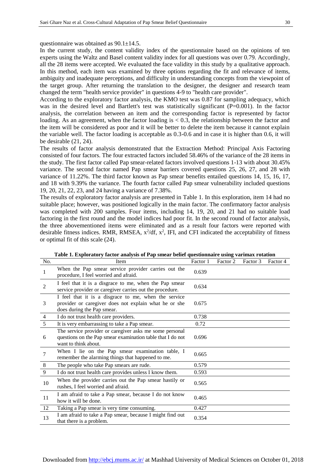questionnaire was obtained as 90.1±14.5.

In the current study, the content validity index of the questionnaire based on the opinions of ten experts using the Waltz and Basel content validity index for all questions was over 0.79. Accordingly, all the 28 items were accepted. We evaluated the face validity in this study by a qualitative approach. In this method, each item was examined by three options regarding the fit and relevance of items, ambiguity and inadequate perceptions, and difficulty in understanding concepts from the viewpoint of the target group. After returning the translation to the designer, the designer and research team changed the term "health service provider" in questions 4-9 to "health care provider".

According to the exploratory factor analysis, the KMO test was 0.87 for sampling adequacy, which was in the desired level and Bartlett's test was statistically significant (P=0.001). In the factor analysis, the correlation between an item and the corresponding factor is represented by factor loading. As an agreement, when the factor loading is  $< 0.3$ , the relationship between the factor and the item will be considered as poor and it will be better to delete the item because it cannot explain the variable well. The factor loading is acceptable as 0.3-0.6 and in case it is higher than 0.6, it will be desirable (21, 24).

The results of factor analysis demonstrated that the Extraction Method: Principal Axis Factoring consisted of four factors. The four extracted factors included 58.46% of the variance of the 28 items in the study. The first factor called Pap smear-related factors involved questions 1-13 with about 30.45% variance. The second factor named Pap smear barriers covered questions 25, 26, 27, and 28 with variance of 11.22%. The third factor known as Pap smear benefits entailed questions 14, 15, 16, 17, and 18 with 9.39% the variance. The fourth factor called Pap smear vulnerability included questions 19, 20, 21, 22, 23, and 24 having a variance of 7.38%.

The results of exploratory factor analysis are presented in Table 1. In this exploration, item 14 had no suitable place; however, was positioned logically in the main factor. The confirmatory factor analysis was completed with 200 samples. Four items, including 14, 19, 20, and 21 had no suitable load factoring in the first round and the model indices had poor fit. In the second round of factor analysis, the three abovementioned items were eliminated and as a result four factors were reported with desirable fitness indices. RMR, RMSEA,  $x^2$ /df,  $x^2$ , IFI, and CFI indicated the acceptability of fitness or optimal fit of this scale (24).

| No.             | Item                                                                                                                                          | Factor 1 | Factor 2 | Factor 3 | Factor 4 |
|-----------------|-----------------------------------------------------------------------------------------------------------------------------------------------|----------|----------|----------|----------|
| 1               | When the Pap smear service provider carries out the<br>procedure, I feel worried and afraid.                                                  | 0.639    |          |          |          |
| $\overline{2}$  | I feel that it is a disgrace to me, when the Pap smear<br>service provider or caregiver carries out the procedure.                            | 0.634    |          |          |          |
| 3               | I feel that it is a disgrace to me, when the service<br>provider or caregiver does not explain what he or she<br>does during the Pap smear.   | 0.675    |          |          |          |
| $\overline{4}$  | I do not trust health care providers.                                                                                                         | 0.738    |          |          |          |
| 5               | It is very embarrassing to take a Pap smear.                                                                                                  | 0.72     |          |          |          |
| 6               | The service provider or caregiver asks me some personal<br>questions on the Pap smear examination table that I do not<br>want to think about. | 0.696    |          |          |          |
| $\overline{7}$  | When I lie on the Pap smear examination table, I<br>remember the alarming things that happened to me.                                         | 0.665    |          |          |          |
| $8\phantom{.0}$ | The people who take Pap smears are rude.                                                                                                      | 0.579    |          |          |          |
| 9               | I do not trust health care provides unless I know them.                                                                                       | 0.593    |          |          |          |
| 10              | When the provider carries out the Pap smear hastily or<br>rushes, I feel worried and afraid.                                                  | 0.565    |          |          |          |
| 11              | I am afraid to take a Pap smear, because I do not know<br>how it will be done.                                                                | 0.465    |          |          |          |
| 12              | Taking a Pap smear is very time consuming.                                                                                                    | 0.427    |          |          |          |
| 13              | I am afraid to take a Pap smear, because I might find out<br>that there is a problem.                                                         | 0.354    |          |          |          |

**Table 1. Exploratory factor analysis of Pap smear belief questionnaire using varimax rotation**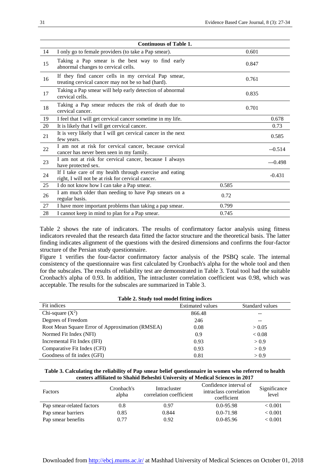| <b>Continuous of Table 1.</b> |                                                                                                              |       |           |  |  |
|-------------------------------|--------------------------------------------------------------------------------------------------------------|-------|-----------|--|--|
| 14                            | I only go to female providers (to take a Pap smear).                                                         | 0.601 |           |  |  |
| 15                            | Taking a Pap smear is the best way to find early<br>abnormal changes to cervical cells.                      | 0.847 |           |  |  |
| 16                            | If they find cancer cells in my cervical Pap smear,<br>treating cervical cancer may not be so bad (hard).    | 0.761 |           |  |  |
| 17                            | Taking a Pap smear will help early detection of abnormal<br>cervical cells.                                  | 0.835 |           |  |  |
| 18                            | Taking a Pap smear reduces the risk of death due to<br>cervical cancer.                                      | 0.701 |           |  |  |
| 19                            | I feel that I will get cervical cancer sometime in my life.                                                  |       | 0.678     |  |  |
| 20                            | It is likely that I will get cervical cancer.                                                                |       | 0.73      |  |  |
| 21                            | It is very likely that I will get cervical cancer in the next<br>few years.                                  |       | 0.585     |  |  |
| 22                            | I am not at risk for cervical cancer, because cervical<br>cancer has never been seen in my family.           |       | $-0.514$  |  |  |
| 23                            | I am not at risk for cervical cancer, because I always<br>have protected sex.                                |       | $--0.498$ |  |  |
| 24                            | If I take care of my health through exercise and eating<br>right, I will not be at risk for cervical cancer. |       | $-0.431$  |  |  |
| 25                            | I do not know how I can take a Pap smear.                                                                    | 0.585 |           |  |  |
| 26                            | I am much older than needing to have Pap smears on a<br>regular basis.                                       | 0.72  |           |  |  |
| 27                            | I have more important problems than taking a pap smear.                                                      | 0.799 |           |  |  |
| 28                            | I cannot keep in mind to plan for a Pap smear.                                                               | 0.745 |           |  |  |

Table 2 shows the rate of indicators. The results of confirmatory factor analysis using fitness indicators revealed that the research data fitted the factor structure and the theoretical basis. The latter finding indicates alignment of the questions with the desired dimensions and confirms the four-factor structure of the Persian study questionnaire.

Figure 1 verifies the four-factor confirmatory factor analysis of the PSBQ scale. The internal consistency of the questionnaire was first calculated by Cronbach's alpha for the whole tool and then for the subscales. The results of reliability test are demonstrated in Table 3. Total tool had the suitable Cronbach's alpha of 0.93. In addition, The intracluster correlation coefficient was 0.98, which was acceptable. The results for the subscales are summarized in Table 3.

| Fit indices                                     | <b>Estimated values</b> | Standard values |
|-------------------------------------------------|-------------------------|-----------------|
| Chi-square $(X^2)$                              | 866.48                  | $- -$           |
| Degrees of Freedom                              | 246                     | $- -$           |
| Root Mean Square Error of Approximation (RMSEA) | 0.08                    | > 0.05          |
| Normed Fit Index (NFI)                          | 0.9                     | < 0.08          |
| Incremental Fit Index (IFI)                     | 0.93                    | > 0.9           |
| Comparative Fit Index (CFI)                     | 0.93                    | > 0.9           |
| Goodness of fit index (GFI)                     | 0.81                    | > 0.9           |

#### **Table 3. Calculating the reliability of Pap smear belief questionnaire in women who referred to health centers affiliated to Shahid Beheshti University of Medical Sciences in 2017**

| Factors                   | Cronbach's<br>alpha | Intracluster<br>correlation coefficient | Confidence interval of<br>intraclass correlation<br>coefficient | Significance<br>level |
|---------------------------|---------------------|-----------------------------------------|-----------------------------------------------------------------|-----------------------|
| Pap smear-related factors | 0.8                 | 0.97                                    | $0.0 - 95.98$                                                   | < 0.001               |
| Pap smear barriers        | 0.85                | 0.844                                   | $0.0 - 71.98$                                                   | < 0.001               |
| Pap smear benefits        | 0.77                | 0.92                                    | $0.0 - 85.96$                                                   | < 0.001               |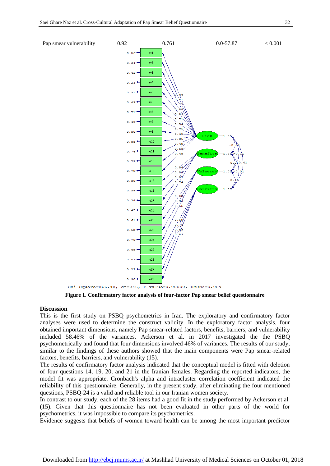

**Figure 1. Confirmatory factor analysis of four-factor Pap smear belief questionnaire**

#### **Discussion**

This is the first study on PSBQ psychometrics in Iran. The exploratory and confirmatory factor analyses were used to determine the construct validity. In the exploratory factor analysis, four obtained important dimensions, namely Pap smear-related factors, benefits, barriers, and vulnerability included 58.46% of the variances. Ackerson et al. in 2017 investigated the the PSBQ psychometrically and found that four dimensions involved 46% of variances. The results of our study, similar to the findings of these authors showed that the main components were Pap smear-related factors, benefits, barriers, and vulnerability (15).

The results of confirmatory factor analysis indicated that the conceptual model is fitted with deletion of four questions 14, 19, 20, and 21 in the Iranian females. Regarding the reported indicators, the model fit was appropriate. Cronbach's alpha and intracluster correlation coefficient indicated the reliability of this questionnaire. Generally, in the present study, after eliminating the four mentioned questions, PSBQ-24 is a valid and reliable tool in our Iranian women society.

In contrast to our study, each of the 28 items had a good fit in the study performed by Ackerson et al. (15). Given that this questionnaire has not been evaluated in other parts of the world for psychometrics, it was impossible to compare its psychometrics.

Evidence suggests that beliefs of women toward health can be among the most important predictor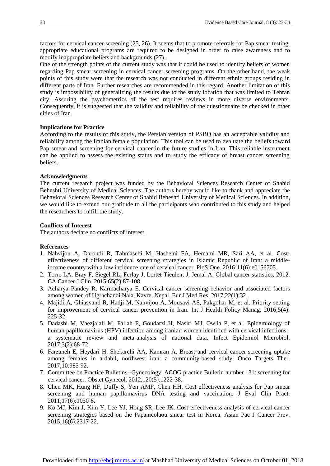factors for cervical cancer screening (25, 26). It seems that to promote referrals for Pap smear testing, appropriate educational programs are required to be designed in order to raise awareness and to modify inappropriate beliefs and backgrounds (27).

One of the strength points of the current study was that it could be used to identify beliefs of women regarding Pap smear screening in cervical cancer screening programs. On the other hand, the weak points of this study were that the research was not conducted in different ethnic groups residing in different parts of Iran. Further researches are recommended in this regard. Another limitation of this study is impossibility of generalizing the results due to the study location that was limited to Tehran city. Assuring the psychometrics of the test requires reviews in more diverse environments. Consequently, it is suggested that the validity and reliability of the questionnaire be checked in other cities of Iran.

#### **Implications for Practice**

According to the results of this study, the Persian version of PSBQ has an acceptable validity and reliability among the Iranian female population. This tool can be used to evaluate the beliefs toward Pap smear and screening for cervical cancer in the future studies in Iran. This reliable instrument can be applied to assess the existing status and to study the efficacy of breast cancer screening beliefs.

#### **Acknowledgments**

The current research project was funded by the Behavioral Sciences Research Center of Shahid Beheshti University of Medical Sciences. The authors hereby would like to thank and appreciate the Behavioral Sciences Research Center of Shahid Beheshti University of Medical Sciences. In addition, we would like to extend our gratitude to all the participants who contributed to this study and helped the researchers to fulfill the study.

#### **Conflicts of Interest**

The authors declare no conflicts of interest.

#### **References**

- 1. Nahvijou A, Daroudi R, Tahmasebi M, Hashemi FA, Hemami MR, Sari AA, et al. Costeffectiveness of different cervical screening strategies in Islamic Republic of Iran: a middleincome country with a low incidence rate of cervical cancer. PloS One. 2016;11(6):e0156705.
- 2. Torre LA, Bray F, Siegel RL, Ferlay J, Lortet‐Tieulent J, Jemal A. Global cancer statistics, 2012. CA Cancer J Clin. 2015;65(2):87-108.
- 3. Acharya Pandey R, Karmacharya E. Cervical cancer screening behavior and associated factors among women of Ugrachandi Nala, Kavre, Nepal. Eur J Med Res. 2017;22(1):32.
- 4. Majidi A, Ghiasvand R, Hadji M, Nahvijou A, Mousavi AS, Pakgohar M, et al. Priority setting for improvement of cervical cancer prevention in Iran. Int J Health Policy Manag. 2016;5(4): 225-32.
- 5. Dadashi M, Vaezjalali M, Fallah F, Goudarzi H, Nasiri MJ, Owlia P, et al. Epidemiology of human papillomavirus (HPV) infection among iranian women identified with cervical infections: a systematic review and meta-analysis of national data. Infect Epidemiol Microbiol. 2017;3(2):68-72.
- 6. Farzaneh E, Heydari H, Shekarchi AA, Kamran A. Breast and cervical cancer-screening uptake among females in ardabil, northwest iran: a community-based study. Onco Targets Ther. 2017;10:985-92.
- 7. Committee on Practice Bulletins--Gynecology. ACOG practice Bulletin number 131: screening for cervical cancer. Obstet Gynecol. 2012;120(5):1222-38.
- 8. Chen MK, Hung HF, Duffy S, Yen AMF, Chen HH. Cost-effectiveness analysis for Pap smear screening and human papillomavirus DNA testing and vaccination. J Eval Clin Pract. 2011;17(6):1050-8.
- 9. Ko MJ, Kim J, Kim Y, Lee YJ, Hong SR, Lee JK. Cost-effectiveness analysis of cervical cancer screening strategies based on the Papanicolaou smear test in Korea. Asian Pac J Cancer Prev. 2015;16(6):2317-22.